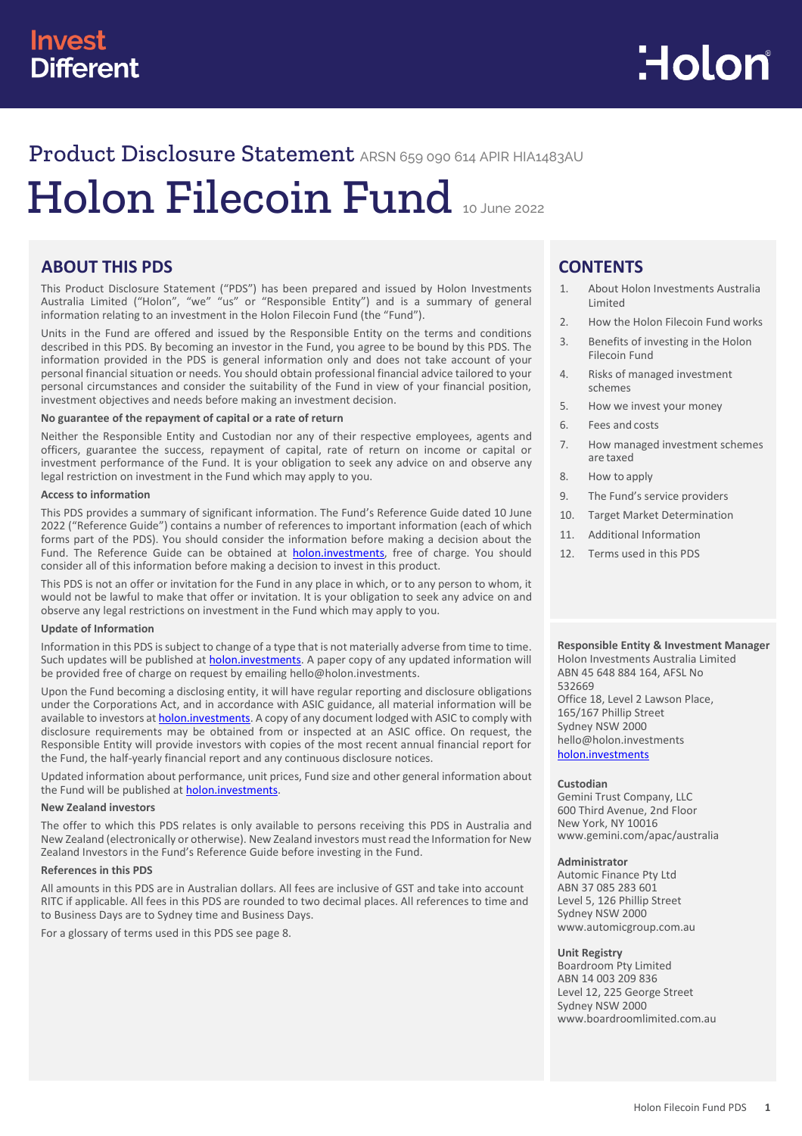# Product Disclosure Statement ARSN 659 090 614 APIR HIA1483AU

# Holon Filecoin Fund <sup>10</sup> June <sup>2022</sup>

# **ABOUT THIS PDS**

This Product Disclosure Statement ("PDS") has been prepared and issued by Holon Investments Australia Limited ("Holon", "we" "us" or "Responsible Entity") and is a summary of general information relating to an investment in the Holon Filecoin Fund (the "Fund").

Units in the Fund are offered and issued by the Responsible Entity on the terms and conditions described in this PDS. By becoming an investor in the Fund, you agree to be bound by this PDS. The information provided in the PDS is general information only and does not take account of your personal financial situation or needs. You should obtain professional financial advice tailored to your personal circumstances and consider the suitability of the Fund in view of your financial position, investment objectives and needs before making an investment decision.

## **No guarantee of the repayment of capital or a rate of return**

Neither the Responsible Entity and Custodian nor any of their respective employees, agents and officers, guarantee the success, repayment of capital, rate of return on income or capital or investment performance of the Fund. It is your obligation to seek any advice on and observe any legal restriction on investment in the Fund which may apply to you.

#### **Access to information**

This PDS provides a summary of significant information. The Fund's Reference Guide dated 10 June 2022 ("Reference Guide") contains a number of references to important information (each of which forms part of the PDS). You should consider the information before making a decision about the Fund. The Reference Guide can be obtained at **holon.investments**, free of charge. You should consider all of this information before making a decision to invest in this product.

This PDS is not an offer or invitation for the Fund in any place in which, or to any person to whom, it would not be lawful to make that offer or invitation. It is your obligation to seek any advice on and observe any legal restrictions on investment in the Fund which may apply to you.

#### **Update of Information**

Information in this PDS is subject to change of a type that is not materially adverse from time to time. Such updates will be published at **holon.investments**. A paper copy of any updated information will be provided free of charge on request by emailing hello@holon.investments.

Upon the Fund becoming a disclosing entity, it will have regular reporting and disclosure obligations under the Corporations Act, and in accordance with ASIC guidance, all material information will be available to investors at **holon.investments**. A copy of any document lodged with ASIC to comply with disclosure requirements may be obtained from or inspected at an ASIC office. On request, the Responsible Entity will provide investors with copies of the most recent annual financial report for the Fund, the half-yearly financial report and any continuous disclosure notices.

Updated information about performance, unit prices, Fund size and other general information about the Fund will be published at **holon.investments**.

#### **New Zealand investors**

The offer to which this PDS relates is only available to persons receiving this PDS in Australia and New Zealand (electronically or otherwise). New Zealand investors must read the Information for New Zealand Investors in the Fund's Reference Guide before investing in the Fund.

#### **References in this PDS**

All amounts in this PDS are in Australian dollars. All fees are inclusive of GST and take into account RITC if applicable. All fees in this PDS are rounded to two decimal places. All references to time and to Business Days are to Sydney time and Business Days.

For a glossary of terms used in this PDS see page 8.

# **CONTENTS**

- 1. About Holon Investments Australia Limited
- 2. How the Holon Filecoin Fund works
- 3. Benefits of investing in the Holon Filecoin Fund
- 4. Risks of managed investment schemes
- 5. How we invest your money
- 6. Fees and costs
- 7. How managed investment schemes are taxed
- 8. How to apply
- 9. The Fund's service providers
- 10. Target Market Determination
- 11. Additional Information
- 12. Terms used in this PDS

#### **Responsible Entity & Investment Manager** Holon Investments Australia Limited

ABN 45 648 884 164, AFSL No 532669 Office 18, Level 2 Lawson Place, 165/167 Phillip Street Sydney NSW 2000 hello@holon.investments [holon.investments](http://holon.investments/)

#### **Custodian**

Gemini Trust Company, LLC 600 Third Avenue, 2nd Floor New York, NY 10016 [www.gemini.com/apac/australia](http://www.gemini.com/apac/australia)

#### **Administrator**

Automic Finance Pty Ltd ABN 37 085 283 601 Level 5, 126 Phillip Street Sydney NSW 2000 www.automicgroup.com.au

#### **Unit Registry**

Boardroom Pty Limited ABN 14 003 209 836 Level 12, 225 George Street Sydney NSW 2000 [www.boardroomlimited.com.au](http://www.boardroomlimited.com.au/)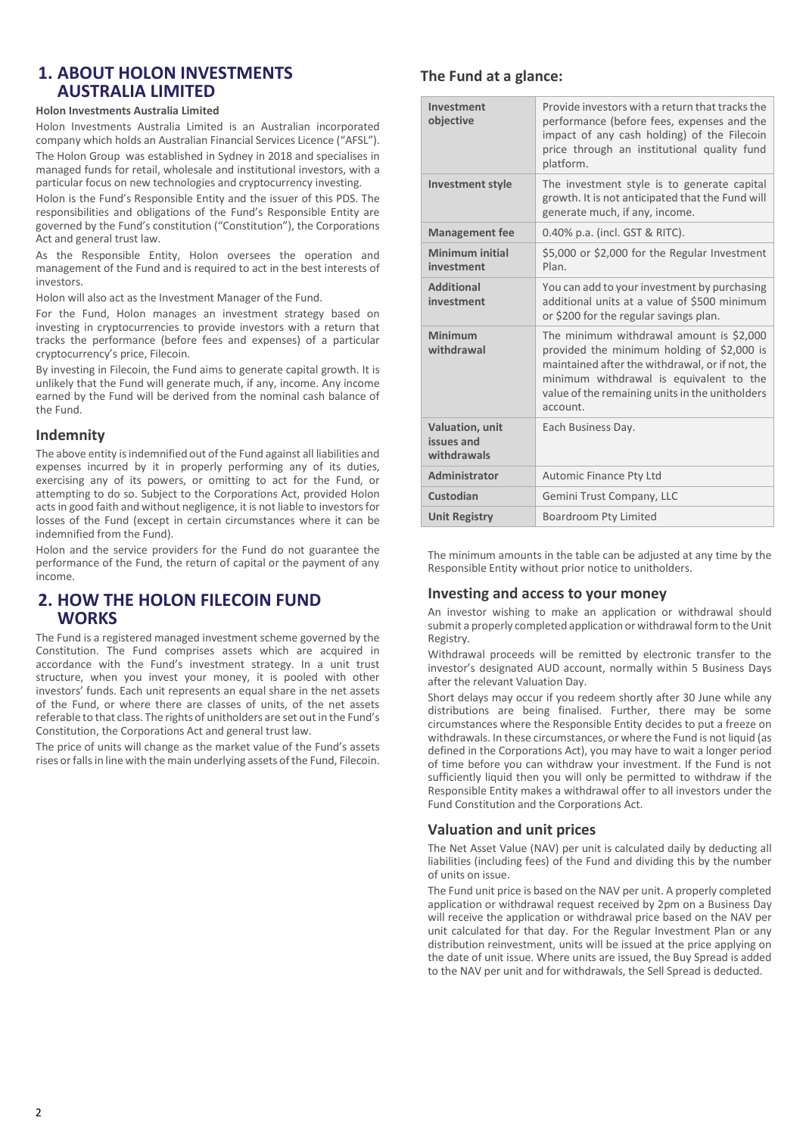# **1. ABOUT HOLON INVESTMENTS AUSTRALIA LIMITED**

#### **Holon Investments Australia Limited**

Holon Investments Australia Limited is an Australian incorporated company which holds an Australian Financial Services Licence ("AFSL").

The Holon Group was established in Sydney in 2018 and specialises in managed funds for retail, wholesale and institutional investors, with a particular focus on new technologies and cryptocurrency investing.

Holon is the Fund's Responsible Entity and the issuer of this PDS. The responsibilities and obligations of the Fund's Responsible Entity are governed by the Fund's constitution ("Constitution"), the Corporations Act and general trust law.

As the Responsible Entity, Holon oversees the operation and management of the Fund and is required to act in the best interests of investors.

Holon will also act as the Investment Manager of the Fund.

For the Fund, Holon manages an investment strategy based on investing in cryptocurrencies to provide investors with a return that tracks the performance (before fees and expenses) of a particular cryptocurrency's price, Filecoin.

By investing in Filecoin, the Fund aims to generate capital growth. It is unlikely that the Fund will generate much, if any, income. Any income earned by the Fund will be derived from the nominal cash balance of the Fund.

## **Indemnity**

The above entity is indemnified out of the Fund against all liabilities and expenses incurred by it in properly performing any of its duties, exercising any of its powers, or omitting to act for the Fund, or attempting to do so. Subject to the Corporations Act, provided Holon acts in good faith and without negligence, it is not liable to investors for losses of the Fund (except in certain circumstances where it can be indemnified from the Fund).

Holon and the service providers for the Fund do not guarantee the performance of the Fund, the return of capital or the payment of any income.

# **2. HOW THE HOLON FILECOIN FUND WORKS**

The Fund is a registered managed investment scheme governed by the Constitution. The Fund comprises assets which are acquired in accordance with the Fund's investment strategy. In a unit trust structure, when you invest your money, it is pooled with other investors' funds. Each unit represents an equal share in the net assets of the Fund, or where there are classes of units, of the net assets referable to that class. The rights of unitholders are set out in the Fund's Constitution, the Corporations Act and general trust law.

The price of units will change as the market value of the Fund's assets rises or falls in line with the main underlying assets of the Fund, Filecoin.

## **The Fund at a glance:**

| Investment<br>objective                      | Provide investors with a return that tracks the<br>performance (before fees, expenses and the<br>impact of any cash holding) of the Filecoin<br>price through an institutional quality fund<br>platform.                                            |
|----------------------------------------------|-----------------------------------------------------------------------------------------------------------------------------------------------------------------------------------------------------------------------------------------------------|
| <b>Investment style</b>                      | The investment style is to generate capital<br>growth. It is not anticipated that the Fund will<br>generate much, if any, income.                                                                                                                   |
| <b>Management fee</b>                        | 0.40% p.a. (incl. GST & RITC).                                                                                                                                                                                                                      |
| Minimum initial<br>investment                | \$5,000 or \$2,000 for the Regular Investment<br>Plan.                                                                                                                                                                                              |
| <b>Additional</b><br>investment              | You can add to your investment by purchasing<br>additional units at a value of \$500 minimum<br>or \$200 for the regular savings plan.                                                                                                              |
| Minimum<br>withdrawal                        | The minimum withdrawal amount is \$2,000<br>provided the minimum holding of \$2,000 is<br>maintained after the withdrawal, or if not, the<br>minimum withdrawal is equivalent to the<br>value of the remaining units in the unitholders<br>account. |
| Valuation, unit<br>issues and<br>withdrawals | Each Business Day.                                                                                                                                                                                                                                  |
| Administrator                                | Automic Finance Pty Ltd                                                                                                                                                                                                                             |
| Custodian                                    | Gemini Trust Company, LLC                                                                                                                                                                                                                           |
| <b>Unit Registry</b>                         | <b>Boardroom Pty Limited</b>                                                                                                                                                                                                                        |

The minimum amounts in the table can be adjusted at any time by the Responsible Entity without prior notice to unitholders.

## **Investing and access to your money**

An investor wishing to make an application or withdrawal should submit a properly completed application or withdrawal form to the Unit Registry.

Withdrawal proceeds will be remitted by electronic transfer to the investor's designated AUD account, normally within 5 Business Days after the relevant Valuation Day.

Short delays may occur if you redeem shortly after 30 June while any distributions are being finalised. Further, there may be some circumstances where the Responsible Entity decides to put a freeze on withdrawals. In these circumstances, or where the Fund is not liquid (as defined in the Corporations Act), you may have to wait a longer period of time before you can withdraw your investment. If the Fund is not sufficiently liquid then you will only be permitted to withdraw if the Responsible Entity makes a withdrawal offer to all investors under the Fund Constitution and the Corporations Act.

## **Valuation and unit prices**

The Net Asset Value (NAV) per unit is calculated daily by deducting all liabilities (including fees) of the Fund and dividing this by the number of units on issue.

The Fund unit price is based on the NAV per unit. A properly completed application or withdrawal request received by 2pm on a Business Day will receive the application or withdrawal price based on the NAV per unit calculated for that day. For the Regular Investment Plan or any distribution reinvestment, units will be issued at the price applying on the date of unit issue. Where units are issued, the Buy Spread is added to the NAV per unit and for withdrawals, the Sell Spread is deducted.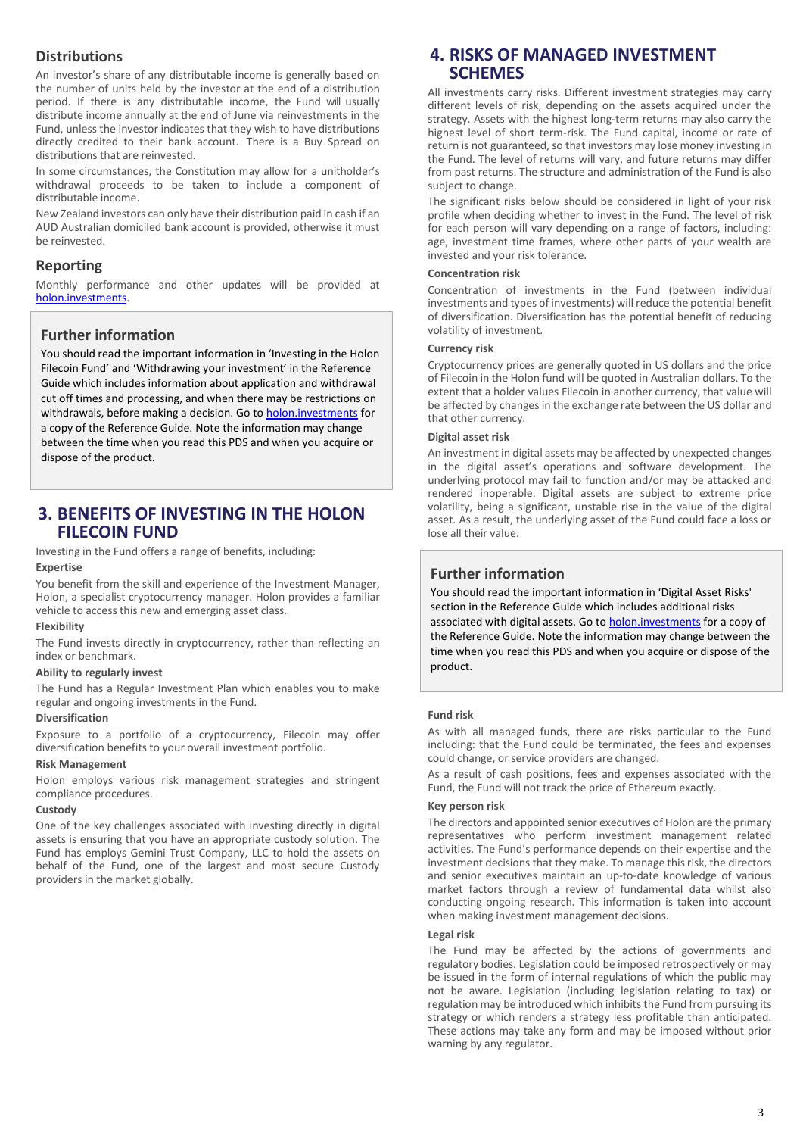## **Distributions**

An investor's share of any distributable income is generally based on the number of units held by the investor at the end of a distribution period. If there is any distributable income, the Fund will usually distribute income annually at the end of June via reinvestments in the Fund, unless the investor indicates that they wish to have distributions directly credited to their bank account. There is a Buy Spread on distributions that are reinvested.

In some circumstances, the Constitution may allow for a unitholder's withdrawal proceeds to be taken to include a component of distributable income.

New Zealand investors can only have their distribution paid in cash if an AUD Australian domiciled bank account is provided, otherwise it must be reinvested.

## **Reporting**

Monthly performance and other updates will be provided at [holon.investments.](http://holon.investments/)

## **Further information**

You should read the important information in 'Investing in the Holon Filecoin Fund' and 'Withdrawing your investment' in the Reference Guide which includes information about application and withdrawal cut off times and processing, and when there may be restrictions on withdrawals, before making a decision. Go t[o holon.investments](http://holon.investments/) for a copy of the Reference Guide. Note the information may change between the time when you read this PDS and when you acquire or dispose of the product.

# **3. BENEFITS OF INVESTING IN THE HOLON FILECOIN FUND**

Investing in the Fund offers a range of benefits, including:

## **Expertise**

You benefit from the skill and experience of the Investment Manager, Holon, a specialist cryptocurrency manager. Holon provides a familiar vehicle to access this new and emerging asset class.

#### **Flexibility**

The Fund invests directly in cryptocurrency, rather than reflecting an index or benchmark.

#### **Ability to regularly invest**

The Fund has a Regular Investment Plan which enables you to make regular and ongoing investments in the Fund.

#### **Diversification**

Exposure to a portfolio of a cryptocurrency, Filecoin may offer diversification benefits to your overall investment portfolio.

#### **Risk Management**

Holon employs various risk management strategies and stringent compliance procedures.

#### **Custody**

One of the key challenges associated with investing directly in digital assets is ensuring that you have an appropriate custody solution. The Fund has employs Gemini Trust Company, LLC to hold the assets on behalf of the Fund, one of the largest and most secure Custody providers in the market globally.

# **4. RISKS OF MANAGED INVESTMENT SCHEMES**

All investments carry risks. Different investment strategies may carry different levels of risk, depending on the assets acquired under the strategy. Assets with the highest long-term returns may also carry the highest level of short term-risk. The Fund capital, income or rate of return is not guaranteed, so that investors may lose money investing in the Fund. The level of returns will vary, and future returns may differ from past returns. The structure and administration of the Fund is also subject to change.

The significant risks below should be considered in light of your risk profile when deciding whether to invest in the Fund. The level of risk for each person will vary depending on a range of factors, including: age, investment time frames, where other parts of your wealth are invested and your risk tolerance.

#### **Concentration risk**

Concentration of investments in the Fund (between individual investments and types of investments) will reduce the potential benefit of diversification. Diversification has the potential benefit of reducing volatility of investment.

#### **Currency risk**

Cryptocurrency prices are generally quoted in US dollars and the price of Filecoin in the Holon fund will be quoted in Australian dollars. To the extent that a holder values Filecoin in another currency, that value will be affected by changes in the exchange rate between the US dollar and that other currency.

#### **Digital asset risk**

An investment in digital assets may be affected by unexpected changes in the digital asset's operations and software development. The underlying protocol may fail to function and/or may be attacked and rendered inoperable. Digital assets are subject to extreme price volatility, being a significant, unstable rise in the value of the digital asset. As a result, the underlying asset of the Fund could face a loss or lose all their value.

## **Further information**

You should read the important information in 'Digital Asset Risks' section in the Reference Guide which includes additional risks associated with digital assets. Go t[o holon.investments](http://holon.investments/) for a copy of the Reference Guide. Note the information may change between the time when you read this PDS and when you acquire or dispose of the product.

#### **Fund risk**

As with all managed funds, there are risks particular to the Fund including: that the Fund could be terminated, the fees and expenses could change, or service providers are changed.

As a result of cash positions, fees and expenses associated with the Fund, the Fund will not track the price of Ethereum exactly.

#### **Key person risk**

The directors and appointed senior executives of Holon are the primary representatives who perform investment management related activities. The Fund's performance depends on their expertise and the investment decisions that they make. To manage this risk, the directors and senior executives maintain an up-to-date knowledge of various market factors through a review of fundamental data whilst also conducting ongoing research. This information is taken into account when making investment management decisions.

#### **Legal risk**

The Fund may be affected by the actions of governments and regulatory bodies. Legislation could be imposed retrospectively or may be issued in the form of internal regulations of which the public may not be aware. Legislation (including legislation relating to tax) or regulation may be introduced which inhibits the Fund from pursuing its strategy or which renders a strategy less profitable than anticipated. These actions may take any form and may be imposed without prior warning by any regulator.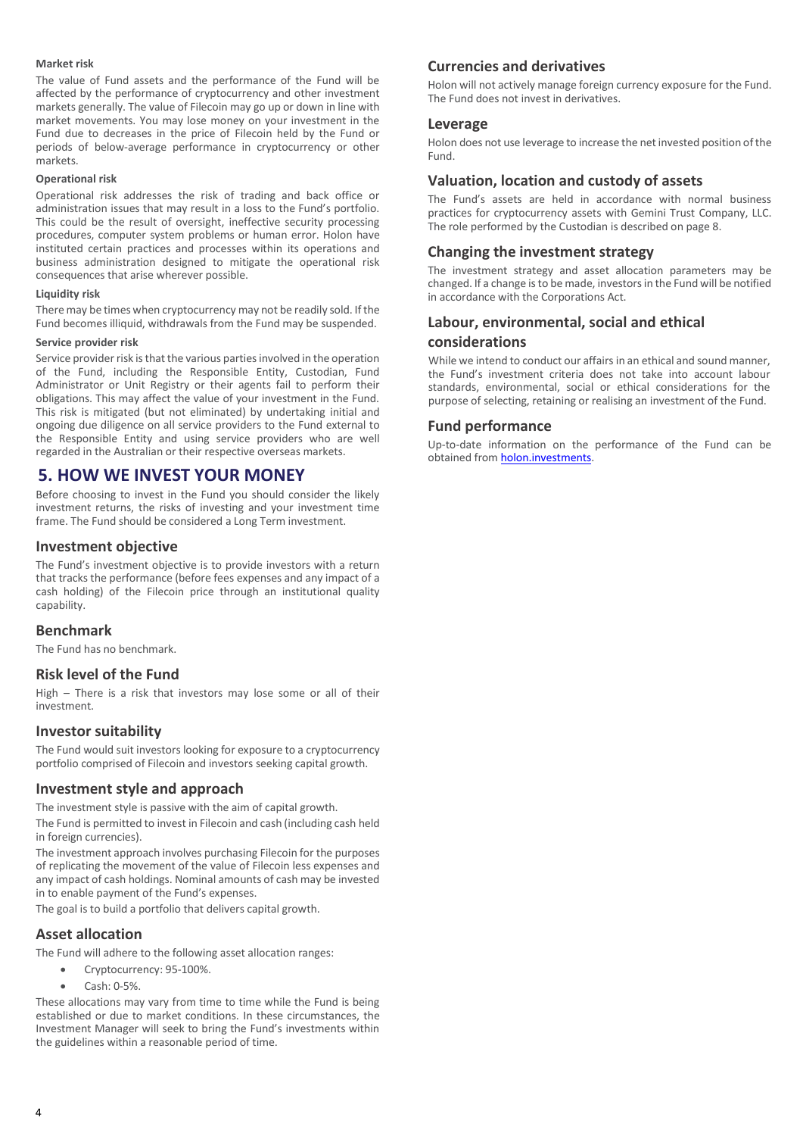#### **Market risk**

The value of Fund assets and the performance of the Fund will be affected by the performance of cryptocurrency and other investment markets generally. The value of Filecoin may go up or down in line with market movements. You may lose money on your investment in the Fund due to decreases in the price of Filecoin held by the Fund or periods of below-average performance in cryptocurrency or other markets.

#### **Operational risk**

Operational risk addresses the risk of trading and back office or administration issues that may result in a loss to the Fund's portfolio. This could be the result of oversight, ineffective security processing procedures, computer system problems or human error. Holon have instituted certain practices and processes within its operations and business administration designed to mitigate the operational risk consequences that arise wherever possible.

#### **Liquidity risk**

There may be times when cryptocurrency may not be readily sold. If the Fund becomes illiquid, withdrawals from the Fund may be suspended.

#### **Service provider risk**

Service provider risk is that the various parties involved in the operation of the Fund, including the Responsible Entity, Custodian, Fund Administrator or Unit Registry or their agents fail to perform their obligations. This may affect the value of your investment in the Fund. This risk is mitigated (but not eliminated) by undertaking initial and ongoing due diligence on all service providers to the Fund external to the Responsible Entity and using service providers who are well regarded in the Australian or their respective overseas markets.

# **5. HOW WE INVEST YOUR MONEY**

Before choosing to invest in the Fund you should consider the likely investment returns, the risks of investing and your investment time frame. The Fund should be considered a Long Term investment.

## **Investment objective**

The Fund's investment objective is to provide investors with a return that tracks the performance (before fees expenses and any impact of a cash holding) of the Filecoin price through an institutional quality capability.

## **Benchmark**

The Fund has no benchmark.

## **Risk level of the Fund**

High – There is a risk that investors may lose some or all of their investment.

#### **Investor suitability**

The Fund would suit investors looking for exposure to a cryptocurrency portfolio comprised of Filecoin and investors seeking capital growth.

## **Investment style and approach**

The investment style is passive with the aim of capital growth.

The Fund is permitted to invest in Filecoin and cash (including cash held in foreign currencies).

The investment approach involves purchasing Filecoin for the purposes of replicating the movement of the value of Filecoin less expenses and any impact of cash holdings. Nominal amounts of cash may be invested in to enable payment of the Fund's expenses.

The goal is to build a portfolio that delivers capital growth.

## **Asset allocation**

The Fund will adhere to the following asset allocation ranges:

- Cryptocurrency: 95-100%.
- Cash: 0-5%.

These allocations may vary from time to time while the Fund is being established or due to market conditions. In these circumstances, the Investment Manager will seek to bring the Fund's investments within the guidelines within a reasonable period of time.

## **Currencies and derivatives**

Holon will not actively manage foreign currency exposure for the Fund. The Fund does not invest in derivatives.

## **Leverage**

Holon does not use leverage to increase the net invested position of the Fund.

## **Valuation, location and custody of assets**

The Fund's assets are held in accordance with normal business practices for cryptocurrency assets with Gemini Trust Company, LLC. The role performed by the Custodian is described on page 8.

## **Changing the investment strategy**

The investment strategy and asset allocation parameters may be changed. If a change is to be made, investors in the Fund will be notified in accordance with the Corporations Act.

## **Labour, environmental, social and ethical considerations**

While we intend to conduct our affairs in an ethical and sound manner, the Fund's investment criteria does not take into account labour standards, environmental, social or ethical considerations for the purpose of selecting, retaining or realising an investment of the Fund.

## **Fund performance**

Up-to-date information on the performance of the Fund can be obtained fro[m holon.investments.](http://holon.investments/)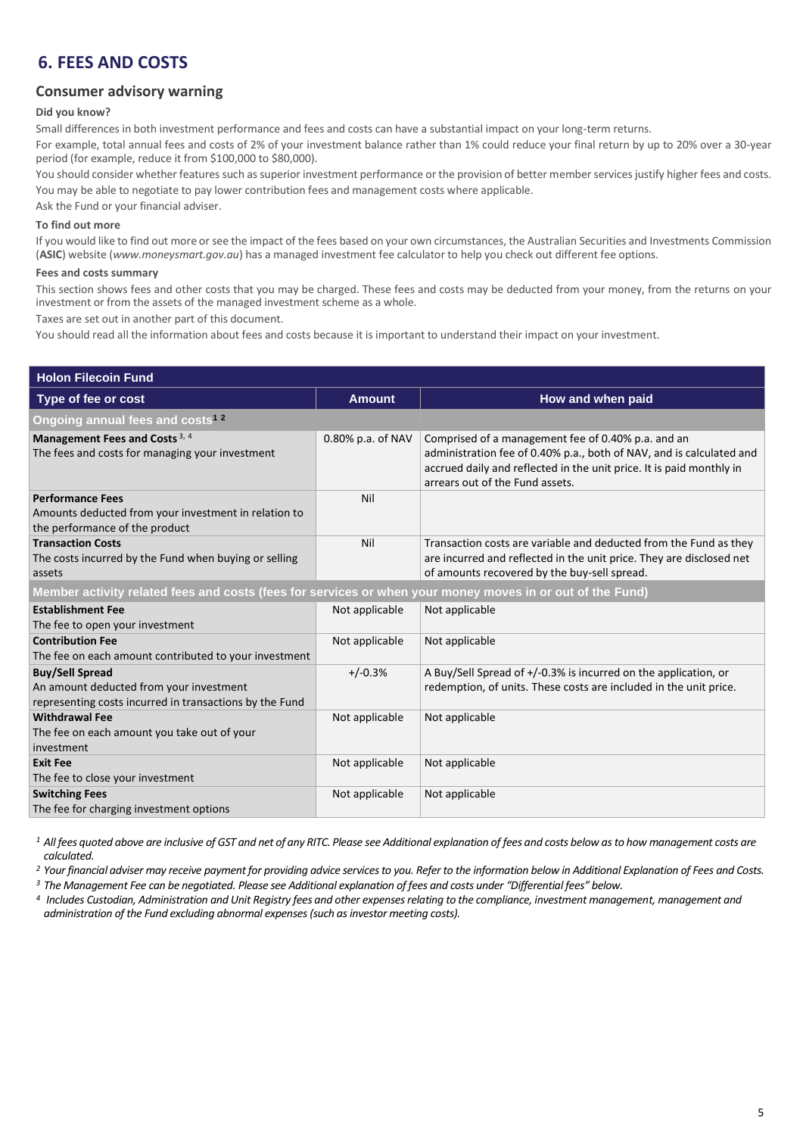# **6. FEES AND COSTS**

## **Consumer advisory warning**

#### **Did you know?**

Small differences in both investment performance and fees and costs can have a substantial impact on your long-term returns.

For example, total annual fees and costs of 2% of your investment balance rather than 1% could reduce your final return by up to 20% over a 30-year period (for example, reduce it from \$100,000 to \$80,000).

You should consider whether features such as superior investment performance or the provision of better member services justify higher fees and costs. You may be able to negotiate to pay lower contribution fees and management costs where applicable.

Ask the Fund or your financial adviser.

## **To find out more**

If you would like to find out more or see the impact of the fees based on your own circumstances, the Australian Securities and Investments Commission (**ASIC**) website (*www.moneysmart.gov.au*) has a managed investment fee calculator to help you check out different fee options.

#### **Fees and costs summary**

This section shows fees and other costs that you may be charged. These fees and costs may be deducted from your money, from the returns on your investment or from the assets of the managed investment scheme as a whole.

Taxes are set out in another part of this document.

You should read all the information about fees and costs because it is important to understand their impact on your investment.

| <b>Holon Filecoin Fund</b>                                                                                                   |                   |                                                                                                                                                                                                                                       |  |  |
|------------------------------------------------------------------------------------------------------------------------------|-------------------|---------------------------------------------------------------------------------------------------------------------------------------------------------------------------------------------------------------------------------------|--|--|
| Type of fee or cost                                                                                                          | <b>Amount</b>     | How and when paid                                                                                                                                                                                                                     |  |  |
| Ongoing annual fees and costs <sup>12</sup>                                                                                  |                   |                                                                                                                                                                                                                                       |  |  |
| Management Fees and Costs <sup>3, 4</sup><br>The fees and costs for managing your investment                                 | 0.80% p.a. of NAV | Comprised of a management fee of 0.40% p.a. and an<br>administration fee of 0.40% p.a., both of NAV, and is calculated and<br>accrued daily and reflected in the unit price. It is paid monthly in<br>arrears out of the Fund assets. |  |  |
| <b>Performance Fees</b><br>Amounts deducted from your investment in relation to<br>the performance of the product            | Nil               |                                                                                                                                                                                                                                       |  |  |
| <b>Transaction Costs</b><br>The costs incurred by the Fund when buying or selling<br>assets                                  | Nil               | Transaction costs are variable and deducted from the Fund as they<br>are incurred and reflected in the unit price. They are disclosed net<br>of amounts recovered by the buy-sell spread.                                             |  |  |
| Member activity related fees and costs (fees for services or when your money moves in or out of the Fund)                    |                   |                                                                                                                                                                                                                                       |  |  |
| <b>Establishment Fee</b><br>The fee to open your investment                                                                  | Not applicable    | Not applicable                                                                                                                                                                                                                        |  |  |
| <b>Contribution Fee</b><br>The fee on each amount contributed to your investment                                             | Not applicable    | Not applicable                                                                                                                                                                                                                        |  |  |
| <b>Buy/Sell Spread</b><br>An amount deducted from your investment<br>representing costs incurred in transactions by the Fund | $+/-0.3%$         | A Buy/Sell Spread of $+/-0.3\%$ is incurred on the application, or<br>redemption, of units. These costs are included in the unit price.                                                                                               |  |  |
| <b>Withdrawal Fee</b><br>The fee on each amount you take out of your<br>investment                                           | Not applicable    | Not applicable                                                                                                                                                                                                                        |  |  |
| <b>Exit Fee</b><br>The fee to close your investment                                                                          | Not applicable    | Not applicable                                                                                                                                                                                                                        |  |  |
| <b>Switching Fees</b><br>The fee for charging investment options                                                             | Not applicable    | Not applicable                                                                                                                                                                                                                        |  |  |

<sup>1</sup> All fees quoted above are inclusive of GST and net of any RITC. Please see Additional explanation of fees and costs below as to how management costs are *calculated.*

*<sup>2</sup> Your financial adviser may receive payment for providing advice services to you. Refer to the information below in Additional Explanation of Fees and Costs.* 

*<sup>3</sup> The Management Fee can be negotiated. Please see Additional explanation of fees and costs under "Differential fees" below.*

*<sup>4</sup>Includes Custodian, Administration and Unit Registry fees and other expenses relating to the compliance, investment management, management and administration of the Fund excluding abnormal expenses (such as investor meeting costs).*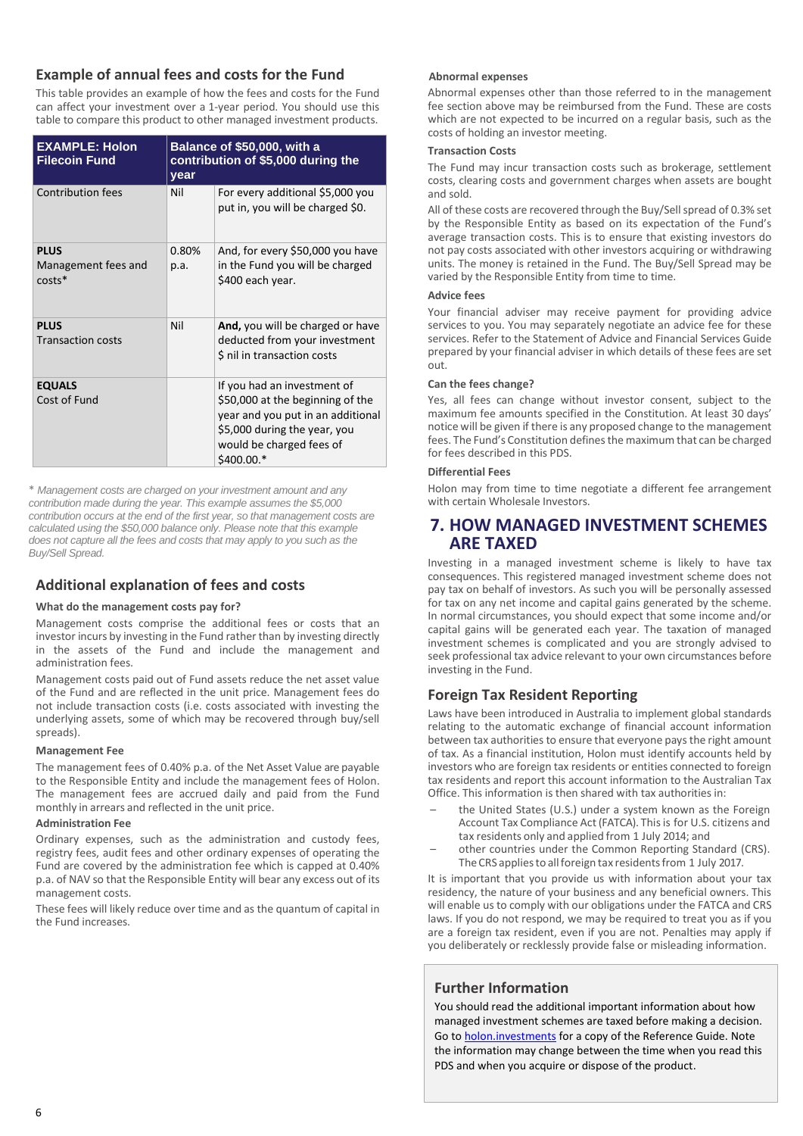## **Example of annual fees and costs for the Fund**

This table provides an example of how the fees and costs for the Fund can affect your investment over a 1-year period. You should use this table to compare this product to other managed investment products.

| <b>EXAMPLE: Holon</b><br><b>Filecoin Fund</b>  | Balance of \$50,000, with a<br>contribution of \$5,000 during the<br>year |                                                                                                                                                                                 |  |
|------------------------------------------------|---------------------------------------------------------------------------|---------------------------------------------------------------------------------------------------------------------------------------------------------------------------------|--|
| <b>Contribution fees</b>                       | Nil                                                                       | For every additional \$5,000 you<br>put in, you will be charged \$0.                                                                                                            |  |
| <b>PLUS</b><br>Management fees and<br>$costs*$ | 0.80%<br>p.a.                                                             | And, for every \$50,000 you have<br>in the Fund you will be charged<br>\$400 each year.                                                                                         |  |
| <b>PLUS</b><br><b>Transaction costs</b>        | Nil                                                                       | And, you will be charged or have<br>deducted from your investment<br>\$ nil in transaction costs                                                                                |  |
| <b>EQUALS</b><br>Cost of Fund                  |                                                                           | If you had an investment of<br>\$50,000 at the beginning of the<br>year and you put in an additional<br>\$5,000 during the year, you<br>would be charged fees of<br>$$400.00.*$ |  |

\* *Management costs are charged on your investment amount and any contribution made during the year. This example assumes the \$5,000 contribution occurs at the end of the first year, so that management costs are calculated using the \$50,000 balance only. Please note that this example does not capture all the fees and costs that may apply to you such as the Buy/Sell Spread.*

# **Additional explanation of fees and costs**

## **What do the management costs pay for?**

Management costs comprise the additional fees or costs that an investor incurs by investing in the Fund rather than by investing directly in the assets of the Fund and include the management and administration fees.

Management costs paid out of Fund assets reduce the net asset value of the Fund and are reflected in the unit price. Management fees do not include transaction costs (i.e. costs associated with investing the underlying assets, some of which may be recovered through buy/sell spreads).

## **Management Fee**

The management fees of 0.40% p.a. of the Net Asset Value are payable to the Responsible Entity and include the management fees of Holon. The management fees are accrued daily and paid from the Fund monthly in arrears and reflected in the unit price.

## **Administration Fee**

Ordinary expenses, such as the administration and custody fees, registry fees, audit fees and other ordinary expenses of operating the Fund are covered by the administration fee which is capped at 0.40% p.a. of NAV so that the Responsible Entity will bear any excess out of its management costs.

These fees will likely reduce over time and as the quantum of capital in the Fund increases.

## **Abnormal expenses**

Abnormal expenses other than those referred to in the management fee section above may be reimbursed from the Fund. These are costs which are not expected to be incurred on a regular basis, such as the costs of holding an investor meeting.

## **Transaction Costs**

The Fund may incur transaction costs such as brokerage, settlement costs, clearing costs and government charges when assets are bought and sold.

All of these costs are recovered through the Buy/Sell spread of 0.3% set by the Responsible Entity as based on its expectation of the Fund's average transaction costs. This is to ensure that existing investors do not pay costs associated with other investors acquiring or withdrawing units. The money is retained in the Fund. The Buy/Sell Spread may be varied by the Responsible Entity from time to time.

## **Advice fees**

Your financial adviser may receive payment for providing advice services to you. You may separately negotiate an advice fee for these services. Refer to the Statement of Advice and Financial Services Guide prepared by your financial adviser in which details of these fees are set out.

## **Can the fees change?**

Yes, all fees can change without investor consent, subject to the maximum fee amounts specified in the Constitution. At least 30 days' notice will be given if there is any proposed change to the management fees. The Fund's Constitution defines the maximum that can be charged for fees described in this PDS.

## **Differential Fees**

Holon may from time to time negotiate a different fee arrangement with certain Wholesale Investors.

# **7. HOW MANAGED INVESTMENT SCHEMES ARE TAXED**

Investing in a managed investment scheme is likely to have tax consequences. This registered managed investment scheme does not pay tax on behalf of investors. As such you will be personally assessed for tax on any net income and capital gains generated by the scheme. In normal circumstances, you should expect that some income and/or capital gains will be generated each year. The taxation of managed investment schemes is complicated and you are strongly advised to seek professional tax advice relevant to your own circumstances before investing in the Fund.

# **Foreign Tax Resident Reporting**

Laws have been introduced in Australia to implement global standards relating to the automatic exchange of financial account information between tax authorities to ensure that everyone pays the right amount of tax. As a financial institution, Holon must identify accounts held by investors who are foreign tax residents or entities connected to foreign tax residents and report this account information to the Australian Tax Office. This information is then shared with tax authorities in:

- the United States (U.S.) under a system known as the Foreign Account Tax Compliance Act (FATCA). This is for U.S. citizens and tax residents only and applied from 1 July 2014; and
- other countries under the Common Reporting Standard (CRS). The CRS applies to all foreign tax residents from 1 July 2017.

It is important that you provide us with information about your tax residency, the nature of your business and any beneficial owners. This will enable us to comply with our obligations under the FATCA and CRS laws. If you do not respond, we may be required to treat you as if you are a foreign tax resident, even if you are not. Penalties may apply if you deliberately or recklessly provide false or misleading information.

# **Further Information**

You should read the additional important information about how managed investment schemes are taxed before making a decision. Go to **holon.investments** for a copy of the Reference Guide. Note the information may change between the time when you read this PDS and when you acquire or dispose of the product.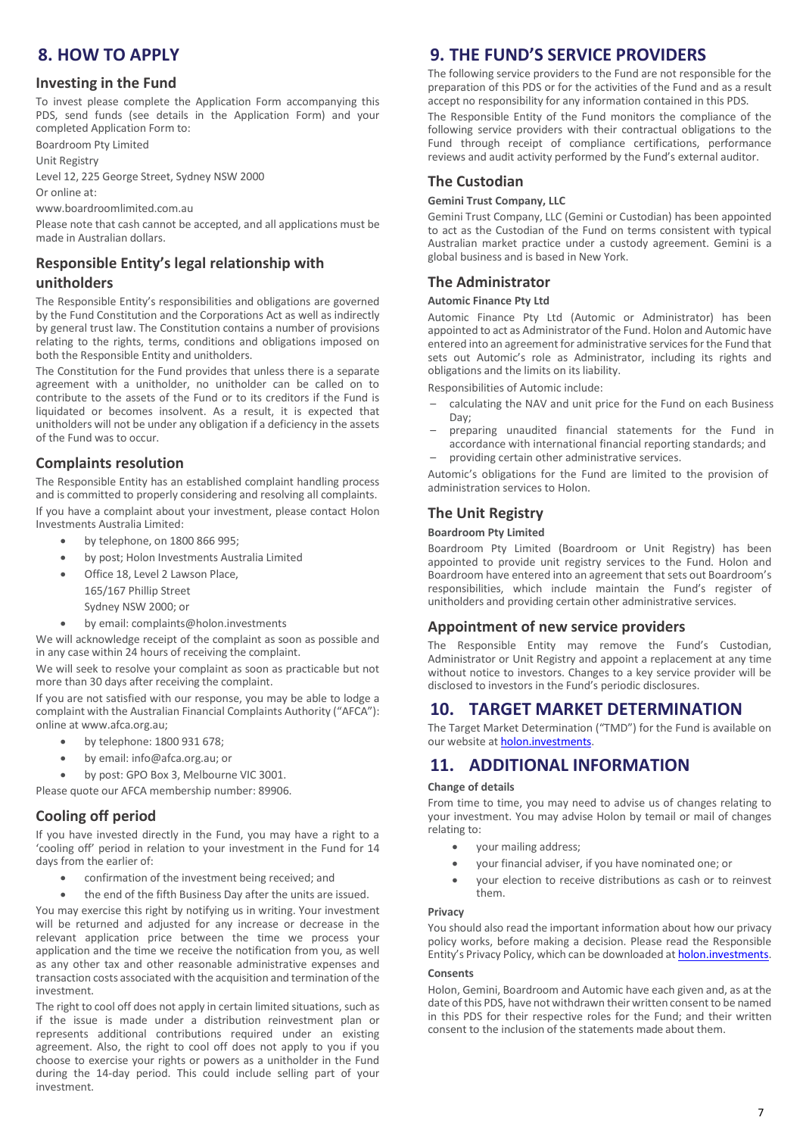# **8. HOW TO APPLY**

## **Investing in the Fund**

To invest please complete the Application Form accompanying this PDS, send funds (see details in the Application Form) and your completed Application Form to:

Boardroom Pty Limited

Unit Registry

Level 12, 225 George Street, Sydney NSW 2000

Or online at:

www.boardroomlimited.com.au

Please note that cash cannot be accepted, and all applications must be made in Australian dollars.

## **Responsible Entity's legal relationship with**

## **unitholders**

The Responsible Entity's responsibilities and obligations are governed by the Fund Constitution and the Corporations Act as well as indirectly by general trust law. The Constitution contains a number of provisions relating to the rights, terms, conditions and obligations imposed on both the Responsible Entity and unitholders.

The Constitution for the Fund provides that unless there is a separate agreement with a unitholder, no unitholder can be called on to contribute to the assets of the Fund or to its creditors if the Fund is liquidated or becomes insolvent. As a result, it is expected that unitholders will not be under any obligation if a deficiency in the assets of the Fund was to occur.

## **Complaints resolution**

The Responsible Entity has an established complaint handling process and is committed to properly considering and resolving all complaints. If you have a complaint about your investment, please contact Holon Investments Australia Limited:

- by telephone, on 1800 866 995;
- by post; Holon Investments Australia Limited
- Office 18, Level 2 Lawson Place,
	- 165/167 Phillip Street
	- Sydney NSW 2000; or
- by email: complaints@holon.investments

We will acknowledge receipt of the complaint as soon as possible and in any case within 24 hours of receiving the complaint.

We will seek to resolve your complaint as soon as practicable but not more than 30 days after receiving the complaint.

If you are not satisfied with our response, you may be able to lodge a complaint with the Australian Financial Complaints Authority ("AFCA"): online a[t www.afca.org.au;](http://www.afca.org.au/)

- by telephone: 1800 931 678;
- by email[: info@afca.org.au;](mailto:info@afca.org.au) or
- by post: GPO Box 3, Melbourne VIC 3001.

Please quote our AFCA membership number: 89906.

## **Cooling off period**

If you have invested directly in the Fund, you may have a right to a 'cooling off' period in relation to your investment in the Fund for 14 days from the earlier of:

- confirmation of the investment being received; and
- the end of the fifth Business Day after the units are issued.

You may exercise this right by notifying us in writing. Your investment will be returned and adjusted for any increase or decrease in the relevant application price between the time we process your application and the time we receive the notification from you, as well as any other tax and other reasonable administrative expenses and transaction costs associated with the acquisition and termination of the investment.

The right to cool off does not apply in certain limited situations, such as if the issue is made under a distribution reinvestment plan or represents additional contributions required under an existing agreement. Also, the right to cool off does not apply to you if you choose to exercise your rights or powers as a unitholder in the Fund during the 14-day period. This could include selling part of your investment.

# **9. THE FUND'S SERVICE PROVIDERS**

The following service providers to the Fund are not responsible for the preparation of this PDS or for the activities of the Fund and as a result accept no responsibility for any information contained in this PDS.

The Responsible Entity of the Fund monitors the compliance of the following service providers with their contractual obligations to the Fund through receipt of compliance certifications, performance reviews and audit activity performed by the Fund's external auditor.

## **The Custodian**

#### **Gemini Trust Company, LLC**

Gemini Trust Company, LLC (Gemini or Custodian) has been appointed to act as the Custodian of the Fund on terms consistent with typical Australian market practice under a custody agreement. Gemini is a global business and is based in New York.

## **The Administrator**

## **Automic Finance Pty Ltd**

Automic Finance Pty Ltd (Automic or Administrator) has been appointed to act as Administrator of the Fund. Holon and Automic have entered into an agreement for administrative services for the Fund that sets out Automic's role as Administrator, including its rights and obligations and the limits on its liability.

Responsibilities of Automic include:

- calculating the NAV and unit price for the Fund on each Business Day;
- preparing unaudited financial statements for the Fund in accordance with international financial reporting standards; and
- providing certain other administrative services.

Automic's obligations for the Fund are limited to the provision of administration services to Holon.

## **The Unit Registry**

## **Boardroom Pty Limited**

Boardroom Pty Limited (Boardroom or Unit Registry) has been appointed to provide unit registry services to the Fund. Holon and Boardroom have entered into an agreement that sets out Boardroom's responsibilities, which include maintain the Fund's register of unitholders and providing certain other administrative services.

## **Appointment of new service providers**

The Responsible Entity may remove the Fund's Custodian, Administrator or Unit Registry and appoint a replacement at any time without notice to investors. Changes to a key service provider will be disclosed to investors in the Fund's periodic disclosures.

# **10. TARGET MARKET DETERMINATION**

The Target Market Determination ("TMD") for the Fund is available on our website a[t holon.investments.](http://holon.investments/)

# **11. ADDITIONAL INFORMATION**

#### **Change of details**

From time to time, you may need to advise us of changes relating to your investment. You may advise Holon by temail or mail of changes relating to:

- your mailing address;
- your financial adviser, if you have nominated one; or
- your election to receive distributions as cash or to reinvest them.

#### **Privacy**

You should also read the important information about how our privacy policy works, before making a decision. Please read the Responsible Entity's Privacy Policy, which can be downloaded at [holon.investments.](http://holon.investments/)

## **Consents**

Holon, Gemini, Boardroom and Automic have each given and, as at the date of this PDS, have not withdrawn their written consent to be named in this PDS for their respective roles for the Fund; and their written consent to the inclusion of the statements made about them.